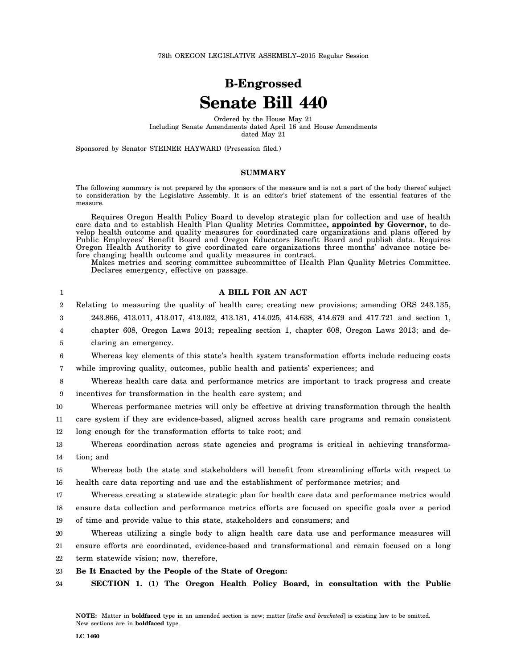78th OREGON LEGISLATIVE ASSEMBLY--2015 Regular Session

# **B-Engrossed Senate Bill 440**

Ordered by the House May 21 Including Senate Amendments dated April 16 and House Amendments dated May 21

Sponsored by Senator STEINER HAYWARD (Presession filed.)

# **SUMMARY**

The following summary is not prepared by the sponsors of the measure and is not a part of the body thereof subject to consideration by the Legislative Assembly. It is an editor's brief statement of the essential features of the measure.

Requires Oregon Health Policy Board to develop strategic plan for collection and use of health care data and to establish Health Plan Quality Metrics Committee**, appointed by Governor,** to develop health outcome and quality measures for coordinated care organizations and plans offered by Public Employees' Benefit Board and Oregon Educators Benefit Board and publish data. Requires Oregon Health Authority to give coordinated care organizations three months' advance notice before changing health outcome and quality measures in contract.

Makes metrics and scoring committee subcommittee of Health Plan Quality Metrics Committee. Declares emergency, effective on passage.

| 1                | A BILL FOR AN ACT                                                                                  |
|------------------|----------------------------------------------------------------------------------------------------|
| $\boldsymbol{2}$ | Relating to measuring the quality of health care; creating new provisions; amending ORS 243.135,   |
| 3                | 243.866, 413.011, 413.017, 413.032, 413.181, 414.025, 414.638, 414.679 and 417.721 and section 1,  |
| 4                | chapter 608, Oregon Laws 2013; repealing section 1, chapter 608, Oregon Laws 2013; and de-         |
| 5                | claring an emergency.                                                                              |
| 6                | Whereas key elements of this state's health system transformation efforts include reducing costs   |
| 7                | while improving quality, outcomes, public health and patients' experiences; and                    |
| 8                | Whereas health care data and performance metrics are important to track progress and create        |
| 9                | incentives for transformation in the health care system; and                                       |
| 10               | Whereas performance metrics will only be effective at driving transformation through the health    |
| 11               | care system if they are evidence-based, aligned across health care programs and remain consistent  |
| 12               | long enough for the transformation efforts to take root; and                                       |
| 13               | Whereas coordination across state agencies and programs is critical in achieving transforma-       |
| 14               | tion; and                                                                                          |
| 15               | Whereas both the state and stakeholders will benefit from streamlining efforts with respect to     |
| 16               | health care data reporting and use and the establishment of performance metrics; and               |
| 17               | Whereas creating a statewide strategic plan for health care data and performance metrics would     |
| 18               | ensure data collection and performance metrics efforts are focused on specific goals over a period |
| 19               | of time and provide value to this state, stakeholders and consumers; and                           |
| 20               | Whereas utilizing a single body to align health care data use and performance measures will        |
| 21               | ensure efforts are coordinated, evidence-based and transformational and remain focused on a long   |
| 22               | term statewide vision; now, therefore,                                                             |
| 23               | Be It Enacted by the People of the State of Oregon:                                                |
| 24               | SECTION 1. (1) The Oregon Health Policy Board, in consultation with the Public                     |
|                  |                                                                                                    |
|                  |                                                                                                    |

**NOTE:** Matter in **boldfaced** type in an amended section is new; matter [*italic and bracketed*] is existing law to be omitted. New sections are in **boldfaced** type.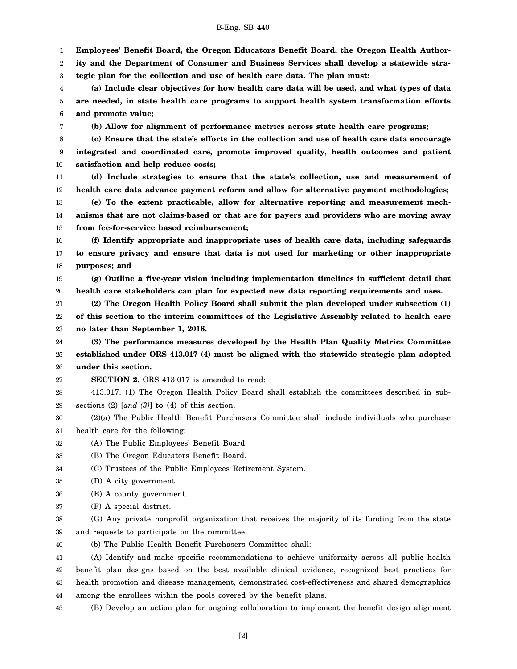1 **Employees' Benefit Board, the Oregon Educators Benefit Board, the Oregon Health Author-**

2 **ity and the Department of Consumer and Business Services shall develop a statewide stra-**

3 **tegic plan for the collection and use of health care data. The plan must:**

4 5 6 **(a) Include clear objectives for how health care data will be used, and what types of data are needed, in state health care programs to support health system transformation efforts and promote value;**

**(b) Allow for alignment of performance metrics across state health care programs;**

8 9 10 **(c) Ensure that the state's efforts in the collection and use of health care data encourage integrated and coordinated care, promote improved quality, health outcomes and patient satisfaction and help reduce costs;**

11 12 **(d) Include strategies to ensure that the state's collection, use and measurement of health care data advance payment reform and allow for alternative payment methodologies;**

13 14 15 **(e) To the extent practicable, allow for alternative reporting and measurement mechanisms that are not claims-based or that are for payers and providers who are moving away from fee-for-service based reimbursement;**

16 17 18 **(f) Identify appropriate and inappropriate uses of health care data, including safeguards to ensure privacy and ensure that data is not used for marketing or other inappropriate purposes; and**

19 20 **(g) Outline a five-year vision including implementation timelines in sufficient detail that health care stakeholders can plan for expected new data reporting requirements and uses.**

21 **(2) The Oregon Health Policy Board shall submit the plan developed under subsection (1)**

22 23 **of this section to the interim committees of the Legislative Assembly related to health care no later than September 1, 2016.**

24 25 26 **(3) The performance measures developed by the Health Plan Quality Metrics Committee established under ORS 413.017 (4) must be aligned with the statewide strategic plan adopted under this section.**

27 **SECTION 2.** ORS 413.017 is amended to read:

28 29 413.017. (1) The Oregon Health Policy Board shall establish the committees described in subsections (2) [*and (3)*] **to (4)** of this section.

30 31 (2)(a) The Public Health Benefit Purchasers Committee shall include individuals who purchase health care for the following:

32 (A) The Public Employees' Benefit Board.

33 (B) The Oregon Educators Benefit Board.

34 (C) Trustees of the Public Employees Retirement System.

35 (D) A city government.

7

- 36 (E) A county government.
- 37 (F) A special district.

38 39 (G) Any private nonprofit organization that receives the majority of its funding from the state and requests to participate on the committee.

40 (b) The Public Health Benefit Purchasers Committee shall:

41 42 43 44 (A) Identify and make specific recommendations to achieve uniformity across all public health benefit plan designs based on the best available clinical evidence, recognized best practices for health promotion and disease management, demonstrated cost-effectiveness and shared demographics among the enrollees within the pools covered by the benefit plans.

45 (B) Develop an action plan for ongoing collaboration to implement the benefit design alignment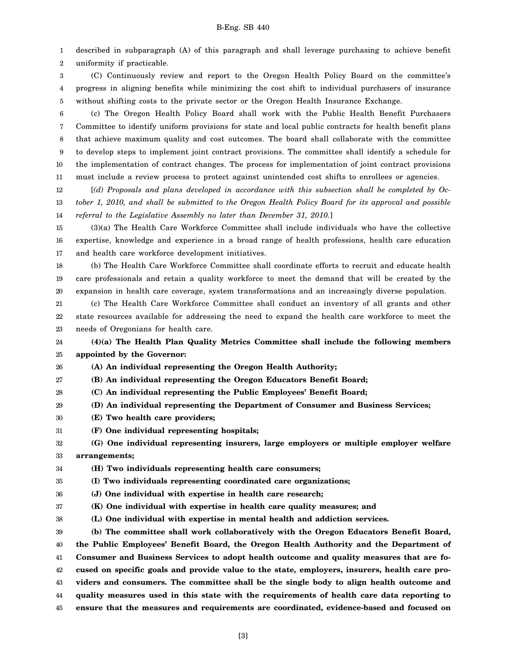1 2 described in subparagraph (A) of this paragraph and shall leverage purchasing to achieve benefit uniformity if practicable.

3 4 5 (C) Continuously review and report to the Oregon Health Policy Board on the committee's progress in aligning benefits while minimizing the cost shift to individual purchasers of insurance without shifting costs to the private sector or the Oregon Health Insurance Exchange.

6 7 8 9 10 11 (c) The Oregon Health Policy Board shall work with the Public Health Benefit Purchasers Committee to identify uniform provisions for state and local public contracts for health benefit plans that achieve maximum quality and cost outcomes. The board shall collaborate with the committee to develop steps to implement joint contract provisions. The committee shall identify a schedule for the implementation of contract changes. The process for implementation of joint contract provisions must include a review process to protect against unintended cost shifts to enrollees or agencies.

12 13 14 [*(d) Proposals and plans developed in accordance with this subsection shall be completed by October 1, 2010, and shall be submitted to the Oregon Health Policy Board for its approval and possible referral to the Legislative Assembly no later than December 31, 2010.*]

15 16 17 (3)(a) The Health Care Workforce Committee shall include individuals who have the collective expertise, knowledge and experience in a broad range of health professions, health care education and health care workforce development initiatives.

18 19 20 (b) The Health Care Workforce Committee shall coordinate efforts to recruit and educate health care professionals and retain a quality workforce to meet the demand that will be created by the expansion in health care coverage, system transformations and an increasingly diverse population.

21 22 (c) The Health Care Workforce Committee shall conduct an inventory of all grants and other state resources available for addressing the need to expand the health care workforce to meet the

23 needs of Oregonians for health care.

24 25 **(4)(a) The Health Plan Quality Metrics Committee shall include the following members appointed by the Governor:**

26 **(A) An individual representing the Oregon Health Authority;**

27 **(B) An individual representing the Oregon Educators Benefit Board;**

28 **(C) An individual representing the Public Employees' Benefit Board;**

29 **(D) An individual representing the Department of Consumer and Business Services;**

- 30 **(E) Two health care providers;**
- 31 **(F) One individual representing hospitals;**

32 33 **(G) One individual representing insurers, large employers or multiple employer welfare arrangements;**

34 **(H) Two individuals representing health care consumers;**

35 **(I) Two individuals representing coordinated care organizations;**

36 **(J) One individual with expertise in health care research;**

37 **(K) One individual with expertise in health care quality measures; and**

38 **(L) One individual with expertise in mental health and addiction services.**

39 **(b) The committee shall work collaboratively with the Oregon Educators Benefit Board,**

40 41 42 43 44 45 **the Public Employees' Benefit Board, the Oregon Health Authority and the Department of Consumer and Business Services to adopt health outcome and quality measures that are focused on specific goals and provide value to the state, employers, insurers, health care providers and consumers. The committee shall be the single body to align health outcome and quality measures used in this state with the requirements of health care data reporting to ensure that the measures and requirements are coordinated, evidence-based and focused on**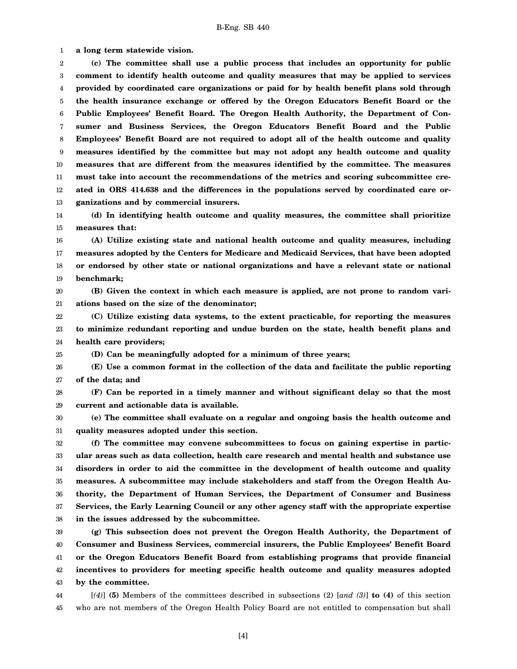1 **a long term statewide vision.**

25

2 3 4 5 6 7 8 9 10 11 12 13 **(c) The committee shall use a public process that includes an opportunity for public comment to identify health outcome and quality measures that may be applied to services provided by coordinated care organizations or paid for by health benefit plans sold through the health insurance exchange or offered by the Oregon Educators Benefit Board or the Public Employees' Benefit Board. The Oregon Health Authority, the Department of Consumer and Business Services, the Oregon Educators Benefit Board and the Public Employees' Benefit Board are not required to adopt all of the health outcome and quality measures identified by the committee but may not adopt any health outcome and quality measures that are different from the measures identified by the committee. The measures must take into account the recommendations of the metrics and scoring subcommittee created in ORS 414.638 and the differences in the populations served by coordinated care organizations and by commercial insurers.**

14 15 **(d) In identifying health outcome and quality measures, the committee shall prioritize measures that:**

16 17 18 19 **(A) Utilize existing state and national health outcome and quality measures, including measures adopted by the Centers for Medicare and Medicaid Services, that have been adopted or endorsed by other state or national organizations and have a relevant state or national benchmark;**

20 21 **(B) Given the context in which each measure is applied, are not prone to random variations based on the size of the denominator;**

22 23 24 **(C) Utilize existing data systems, to the extent practicable, for reporting the measures to minimize redundant reporting and undue burden on the state, health benefit plans and health care providers;**

**(D) Can be meaningfully adopted for a minimum of three years;**

26 27 **(E) Use a common format in the collection of the data and facilitate the public reporting of the data; and**

28 29 **(F) Can be reported in a timely manner and without significant delay so that the most current and actionable data is available.**

30 31 **(e) The committee shall evaluate on a regular and ongoing basis the health outcome and quality measures adopted under this section.**

32 33 34 35 36 37 38 **(f) The committee may convene subcommittees to focus on gaining expertise in particular areas such as data collection, health care research and mental health and substance use disorders in order to aid the committee in the development of health outcome and quality measures. A subcommittee may include stakeholders and staff from the Oregon Health Authority, the Department of Human Services, the Department of Consumer and Business Services, the Early Learning Council or any other agency staff with the appropriate expertise in the issues addressed by the subcommittee.**

39 40 41 42 43 **(g) This subsection does not prevent the Oregon Health Authority, the Department of Consumer and Business Services, commercial insurers, the Public Employees' Benefit Board or the Oregon Educators Benefit Board from establishing programs that provide financial incentives to providers for meeting specific health outcome and quality measures adopted by the committee.**

44 45 [*(4)*] **(5)** Members of the committees described in subsections (2) [*and (3)*] **to (4)** of this section who are not members of the Oregon Health Policy Board are not entitled to compensation but shall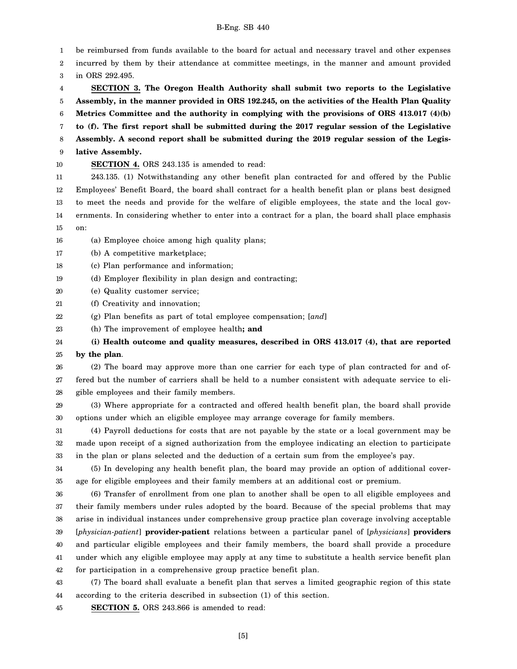1 2 3 4 5 6 7 8 9 10 11 12 13 14 15 16 17 18 19 20 21 22 23 24 25 26 27 28 29 30 31 32 33 34 35 36 37 38 39 40 41 42 43 44 45 be reimbursed from funds available to the board for actual and necessary travel and other expenses incurred by them by their attendance at committee meetings, in the manner and amount provided in ORS 292.495. **SECTION 3. The Oregon Health Authority shall submit two reports to the Legislative Assembly, in the manner provided in ORS 192.245, on the activities of the Health Plan Quality Metrics Committee and the authority in complying with the provisions of ORS 413.017 (4)(b) to (f). The first report shall be submitted during the 2017 regular session of the Legislative Assembly. A second report shall be submitted during the 2019 regular session of the Legislative Assembly. SECTION 4.** ORS 243.135 is amended to read: 243.135. (1) Notwithstanding any other benefit plan contracted for and offered by the Public Employees' Benefit Board, the board shall contract for a health benefit plan or plans best designed to meet the needs and provide for the welfare of eligible employees, the state and the local governments. In considering whether to enter into a contract for a plan, the board shall place emphasis on: (a) Employee choice among high quality plans; (b) A competitive marketplace; (c) Plan performance and information; (d) Employer flexibility in plan design and contracting; (e) Quality customer service; (f) Creativity and innovation; (g) Plan benefits as part of total employee compensation; [*and*] (h) The improvement of employee health**; and (i) Health outcome and quality measures, described in ORS 413.017 (4), that are reported by the plan**. (2) The board may approve more than one carrier for each type of plan contracted for and offered but the number of carriers shall be held to a number consistent with adequate service to eligible employees and their family members. (3) Where appropriate for a contracted and offered health benefit plan, the board shall provide options under which an eligible employee may arrange coverage for family members. (4) Payroll deductions for costs that are not payable by the state or a local government may be made upon receipt of a signed authorization from the employee indicating an election to participate in the plan or plans selected and the deduction of a certain sum from the employee's pay. (5) In developing any health benefit plan, the board may provide an option of additional coverage for eligible employees and their family members at an additional cost or premium. (6) Transfer of enrollment from one plan to another shall be open to all eligible employees and their family members under rules adopted by the board. Because of the special problems that may arise in individual instances under comprehensive group practice plan coverage involving acceptable [*physician-patient*] **provider-patient** relations between a particular panel of [*physicians*] **providers** and particular eligible employees and their family members, the board shall provide a procedure under which any eligible employee may apply at any time to substitute a health service benefit plan for participation in a comprehensive group practice benefit plan. (7) The board shall evaluate a benefit plan that serves a limited geographic region of this state according to the criteria described in subsection (1) of this section. **SECTION 5.** ORS 243.866 is amended to read: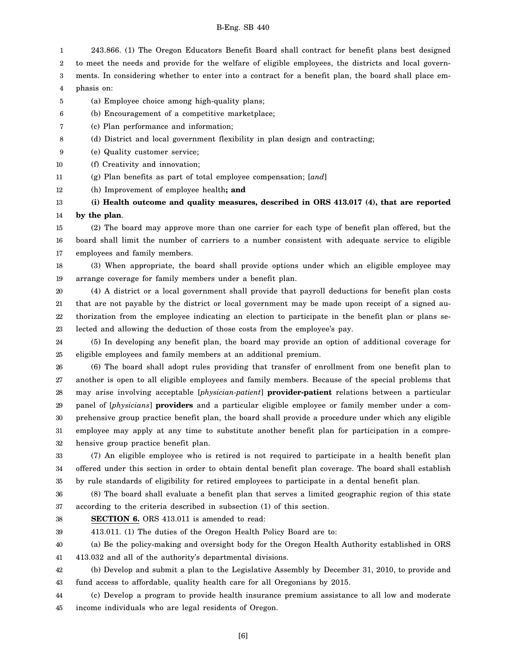1 243.866. (1) The Oregon Educators Benefit Board shall contract for benefit plans best designed

2 to meet the needs and provide for the welfare of eligible employees, the districts and local govern-

3 4 ments. In considering whether to enter into a contract for a benefit plan, the board shall place emphasis on:

- 5 (a) Employee choice among high-quality plans;
- 6 (b) Encouragement of a competitive marketplace;
- 7 (c) Plan performance and information;
- 8 (d) District and local government flexibility in plan design and contracting;
- 9 (e) Quality customer service;
- 10 (f) Creativity and innovation;
- 11 (g) Plan benefits as part of total employee compensation; [*and*]

12 (h) Improvement of employee health**; and**

13 14 **(i) Health outcome and quality measures, described in ORS 413.017 (4), that are reported by the plan**.

15 16 17 (2) The board may approve more than one carrier for each type of benefit plan offered, but the board shall limit the number of carriers to a number consistent with adequate service to eligible employees and family members.

18 19 (3) When appropriate, the board shall provide options under which an eligible employee may arrange coverage for family members under a benefit plan.

20 21 22 23 (4) A district or a local government shall provide that payroll deductions for benefit plan costs that are not payable by the district or local government may be made upon receipt of a signed authorization from the employee indicating an election to participate in the benefit plan or plans selected and allowing the deduction of those costs from the employee's pay.

24 25 (5) In developing any benefit plan, the board may provide an option of additional coverage for eligible employees and family members at an additional premium.

26 27 28 29 30 31 32 (6) The board shall adopt rules providing that transfer of enrollment from one benefit plan to another is open to all eligible employees and family members. Because of the special problems that may arise involving acceptable [*physician-patient*] **provider-patient** relations between a particular panel of [*physicians*] **providers** and a particular eligible employee or family member under a comprehensive group practice benefit plan, the board shall provide a procedure under which any eligible employee may apply at any time to substitute another benefit plan for participation in a comprehensive group practice benefit plan.

33 34 35 (7) An eligible employee who is retired is not required to participate in a health benefit plan offered under this section in order to obtain dental benefit plan coverage. The board shall establish by rule standards of eligibility for retired employees to participate in a dental benefit plan.

36 37 (8) The board shall evaluate a benefit plan that serves a limited geographic region of this state according to the criteria described in subsection (1) of this section.

- 38 **SECTION 6.** ORS 413.011 is amended to read:
- 39

413.011. (1) The duties of the Oregon Health Policy Board are to:

40 41 (a) Be the policy-making and oversight body for the Oregon Health Authority established in ORS 413.032 and all of the authority's departmental divisions.

42 43 (b) Develop and submit a plan to the Legislative Assembly by December 31, 2010, to provide and fund access to affordable, quality health care for all Oregonians by 2015.

44 45 (c) Develop a program to provide health insurance premium assistance to all low and moderate income individuals who are legal residents of Oregon.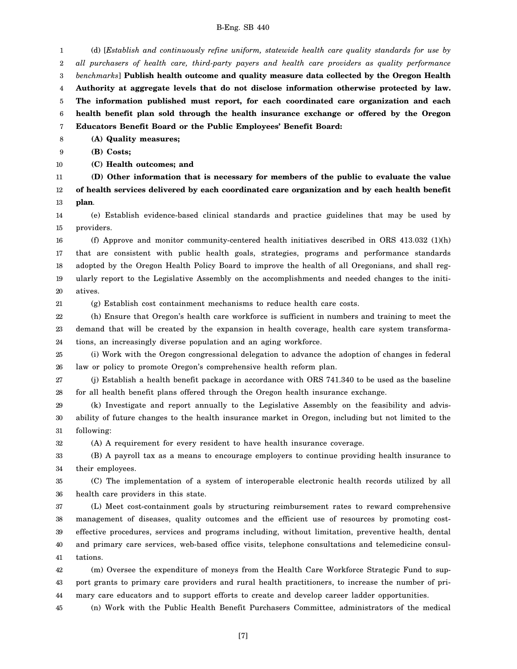1 2 3 4 5 6 7 (d) [*Establish and continuously refine uniform, statewide health care quality standards for use by all purchasers of health care, third-party payers and health care providers as quality performance benchmarks*] **Publish health outcome and quality measure data collected by the Oregon Health Authority at aggregate levels that do not disclose information otherwise protected by law. The information published must report, for each coordinated care organization and each health benefit plan sold through the health insurance exchange or offered by the Oregon Educators Benefit Board or the Public Employees' Benefit Board:**

8 **(A) Quality measures;**

9 **(B) Costs;**

10 **(C) Health outcomes; and**

11 12 13 **(D) Other information that is necessary for members of the public to evaluate the value of health services delivered by each coordinated care organization and by each health benefit plan**.

14 15 (e) Establish evidence-based clinical standards and practice guidelines that may be used by providers.

16 17 18 19 20 (f) Approve and monitor community-centered health initiatives described in ORS 413.032 (1)(h) that are consistent with public health goals, strategies, programs and performance standards adopted by the Oregon Health Policy Board to improve the health of all Oregonians, and shall regularly report to the Legislative Assembly on the accomplishments and needed changes to the initiatives.

21

32

(g) Establish cost containment mechanisms to reduce health care costs.

22 23 24 (h) Ensure that Oregon's health care workforce is sufficient in numbers and training to meet the demand that will be created by the expansion in health coverage, health care system transformations, an increasingly diverse population and an aging workforce.

25 26 (i) Work with the Oregon congressional delegation to advance the adoption of changes in federal law or policy to promote Oregon's comprehensive health reform plan.

27 28 (j) Establish a health benefit package in accordance with ORS 741.340 to be used as the baseline for all health benefit plans offered through the Oregon health insurance exchange.

29 30 31 (k) Investigate and report annually to the Legislative Assembly on the feasibility and advisability of future changes to the health insurance market in Oregon, including but not limited to the following:

(A) A requirement for every resident to have health insurance coverage.

33 34 (B) A payroll tax as a means to encourage employers to continue providing health insurance to their employees.

35 36 (C) The implementation of a system of interoperable electronic health records utilized by all health care providers in this state.

37 38 39 40 41 (L) Meet cost-containment goals by structuring reimbursement rates to reward comprehensive management of diseases, quality outcomes and the efficient use of resources by promoting costeffective procedures, services and programs including, without limitation, preventive health, dental and primary care services, web-based office visits, telephone consultations and telemedicine consultations.

42 43 44 (m) Oversee the expenditure of moneys from the Health Care Workforce Strategic Fund to support grants to primary care providers and rural health practitioners, to increase the number of primary care educators and to support efforts to create and develop career ladder opportunities.

45 (n) Work with the Public Health Benefit Purchasers Committee, administrators of the medical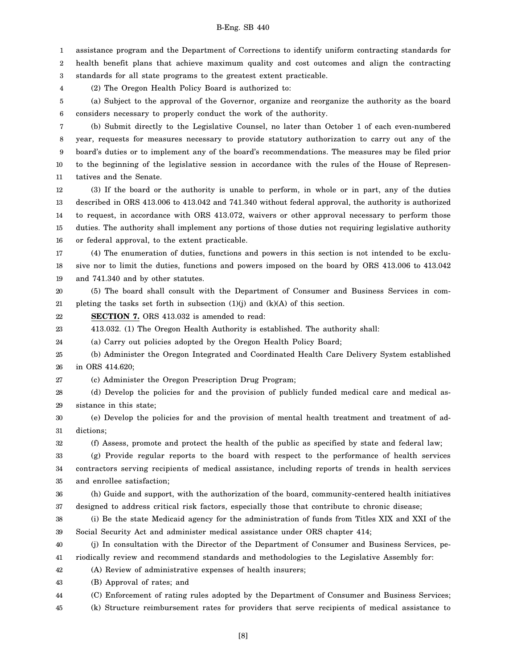1 2 3 assistance program and the Department of Corrections to identify uniform contracting standards for health benefit plans that achieve maximum quality and cost outcomes and align the contracting standards for all state programs to the greatest extent practicable.

4 (2) The Oregon Health Policy Board is authorized to:

5 6 (a) Subject to the approval of the Governor, organize and reorganize the authority as the board considers necessary to properly conduct the work of the authority.

7 8 9 10 11 (b) Submit directly to the Legislative Counsel, no later than October 1 of each even-numbered year, requests for measures necessary to provide statutory authorization to carry out any of the board's duties or to implement any of the board's recommendations. The measures may be filed prior to the beginning of the legislative session in accordance with the rules of the House of Representatives and the Senate.

12 13 14 15 16 (3) If the board or the authority is unable to perform, in whole or in part, any of the duties described in ORS 413.006 to 413.042 and 741.340 without federal approval, the authority is authorized to request, in accordance with ORS 413.072, waivers or other approval necessary to perform those duties. The authority shall implement any portions of those duties not requiring legislative authority or federal approval, to the extent practicable.

17 18 19 (4) The enumeration of duties, functions and powers in this section is not intended to be exclusive nor to limit the duties, functions and powers imposed on the board by ORS 413.006 to 413.042 and 741.340 and by other statutes.

20 21 (5) The board shall consult with the Department of Consumer and Business Services in completing the tasks set forth in subsection  $(1)(j)$  and  $(k)(A)$  of this section.

22 **SECTION 7.** ORS 413.032 is amended to read:

23 413.032. (1) The Oregon Health Authority is established. The authority shall:

24 (a) Carry out policies adopted by the Oregon Health Policy Board;

25 26 (b) Administer the Oregon Integrated and Coordinated Health Care Delivery System established in ORS 414.620;

27 (c) Administer the Oregon Prescription Drug Program;

28 29 (d) Develop the policies for and the provision of publicly funded medical care and medical assistance in this state;

30 31 (e) Develop the policies for and the provision of mental health treatment and treatment of addictions;

32 (f) Assess, promote and protect the health of the public as specified by state and federal law;

33 34 35 (g) Provide regular reports to the board with respect to the performance of health services contractors serving recipients of medical assistance, including reports of trends in health services and enrollee satisfaction;

36 37 (h) Guide and support, with the authorization of the board, community-centered health initiatives designed to address critical risk factors, especially those that contribute to chronic disease;

38 39 (i) Be the state Medicaid agency for the administration of funds from Titles XIX and XXI of the Social Security Act and administer medical assistance under ORS chapter 414;

40 41 (j) In consultation with the Director of the Department of Consumer and Business Services, periodically review and recommend standards and methodologies to the Legislative Assembly for:

42 (A) Review of administrative expenses of health insurers;

43 (B) Approval of rates; and

44 (C) Enforcement of rating rules adopted by the Department of Consumer and Business Services;

45 (k) Structure reimbursement rates for providers that serve recipients of medical assistance to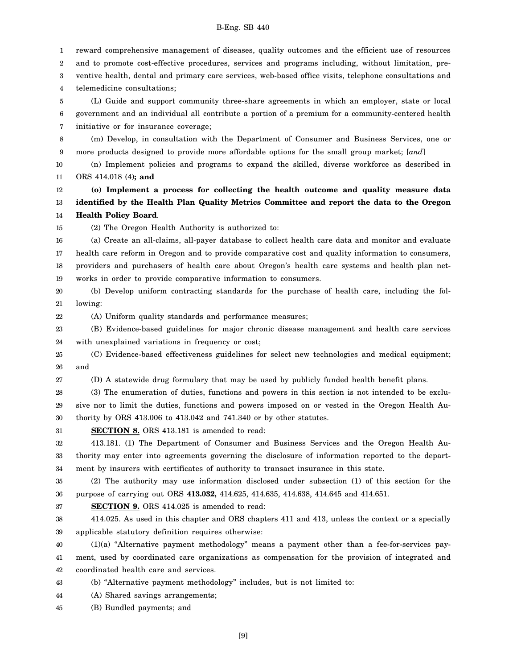1 2 3 4 5 6 7 8 9 10 11 12 13 14 15 16 17 18 19 20 21 22 23 24 25 26 27 28 29 30 31 32 33 34 35 36 37 38 39 40 41 reward comprehensive management of diseases, quality outcomes and the efficient use of resources and to promote cost-effective procedures, services and programs including, without limitation, preventive health, dental and primary care services, web-based office visits, telephone consultations and telemedicine consultations; (L) Guide and support community three-share agreements in which an employer, state or local government and an individual all contribute a portion of a premium for a community-centered health initiative or for insurance coverage; (m) Develop, in consultation with the Department of Consumer and Business Services, one or more products designed to provide more affordable options for the small group market; [*and*] (n) Implement policies and programs to expand the skilled, diverse workforce as described in ORS 414.018 (4)**; and (o) Implement a process for collecting the health outcome and quality measure data identified by the Health Plan Quality Metrics Committee and report the data to the Oregon Health Policy Board**. (2) The Oregon Health Authority is authorized to: (a) Create an all-claims, all-payer database to collect health care data and monitor and evaluate health care reform in Oregon and to provide comparative cost and quality information to consumers, providers and purchasers of health care about Oregon's health care systems and health plan networks in order to provide comparative information to consumers. (b) Develop uniform contracting standards for the purchase of health care, including the following: (A) Uniform quality standards and performance measures; (B) Evidence-based guidelines for major chronic disease management and health care services with unexplained variations in frequency or cost; (C) Evidence-based effectiveness guidelines for select new technologies and medical equipment; and (D) A statewide drug formulary that may be used by publicly funded health benefit plans. (3) The enumeration of duties, functions and powers in this section is not intended to be exclusive nor to limit the duties, functions and powers imposed on or vested in the Oregon Health Authority by ORS 413.006 to 413.042 and 741.340 or by other statutes. **SECTION 8.** ORS 413.181 is amended to read: 413.181. (1) The Department of Consumer and Business Services and the Oregon Health Authority may enter into agreements governing the disclosure of information reported to the department by insurers with certificates of authority to transact insurance in this state. (2) The authority may use information disclosed under subsection (1) of this section for the purpose of carrying out ORS **413.032,** 414.625, 414.635, 414.638, 414.645 and 414.651. **SECTION 9.** ORS 414.025 is amended to read: 414.025. As used in this chapter and ORS chapters 411 and 413, unless the context or a specially applicable statutory definition requires otherwise: (1)(a) "Alternative payment methodology" means a payment other than a fee-for-services payment, used by coordinated care organizations as compensation for the provision of integrated and

42 coordinated health care and services.

43 (b) "Alternative payment methodology" includes, but is not limited to:

44 (A) Shared savings arrangements;

45 (B) Bundled payments; and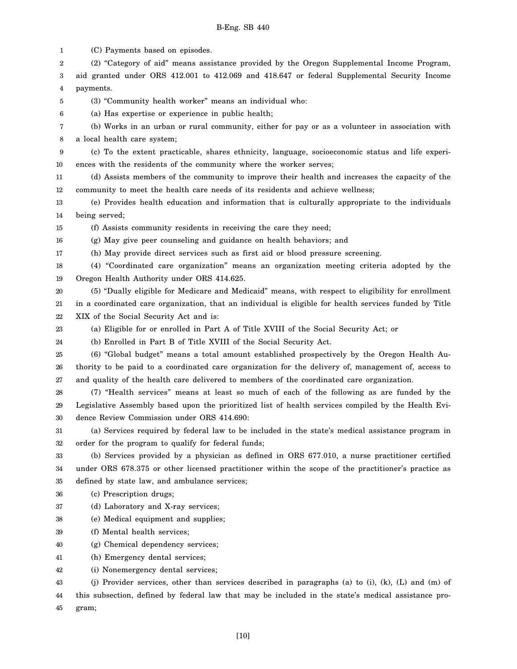1 2 3 4 5 6 7 8 9 10 11 12 13 14 15 16 17 18 19 20 21 22 23 24 25 26 27 28 29 30 31 32 33 34 35 36 37 38 39 40 41 42 43 44 45 (C) Payments based on episodes. (2) "Category of aid" means assistance provided by the Oregon Supplemental Income Program, aid granted under ORS 412.001 to 412.069 and 418.647 or federal Supplemental Security Income payments. (3) "Community health worker" means an individual who: (a) Has expertise or experience in public health; (b) Works in an urban or rural community, either for pay or as a volunteer in association with a local health care system; (c) To the extent practicable, shares ethnicity, language, socioeconomic status and life experiences with the residents of the community where the worker serves; (d) Assists members of the community to improve their health and increases the capacity of the community to meet the health care needs of its residents and achieve wellness; (e) Provides health education and information that is culturally appropriate to the individuals being served; (f) Assists community residents in receiving the care they need; (g) May give peer counseling and guidance on health behaviors; and (h) May provide direct services such as first aid or blood pressure screening. (4) "Coordinated care organization" means an organization meeting criteria adopted by the Oregon Health Authority under ORS 414.625. (5) "Dually eligible for Medicare and Medicaid" means, with respect to eligibility for enrollment in a coordinated care organization, that an individual is eligible for health services funded by Title XIX of the Social Security Act and is: (a) Eligible for or enrolled in Part A of Title XVIII of the Social Security Act; or (b) Enrolled in Part B of Title XVIII of the Social Security Act. (6) "Global budget" means a total amount established prospectively by the Oregon Health Authority to be paid to a coordinated care organization for the delivery of, management of, access to and quality of the health care delivered to members of the coordinated care organization. (7) "Health services" means at least so much of each of the following as are funded by the Legislative Assembly based upon the prioritized list of health services compiled by the Health Evidence Review Commission under ORS 414.690: (a) Services required by federal law to be included in the state's medical assistance program in order for the program to qualify for federal funds; (b) Services provided by a physician as defined in ORS 677.010, a nurse practitioner certified under ORS 678.375 or other licensed practitioner within the scope of the practitioner's practice as defined by state law, and ambulance services; (c) Prescription drugs; (d) Laboratory and X-ray services; (e) Medical equipment and supplies; (f) Mental health services; (g) Chemical dependency services; (h) Emergency dental services; (i) Nonemergency dental services; (j) Provider services, other than services described in paragraphs (a) to (i), (k), (L) and (m) of this subsection, defined by federal law that may be included in the state's medical assistance program;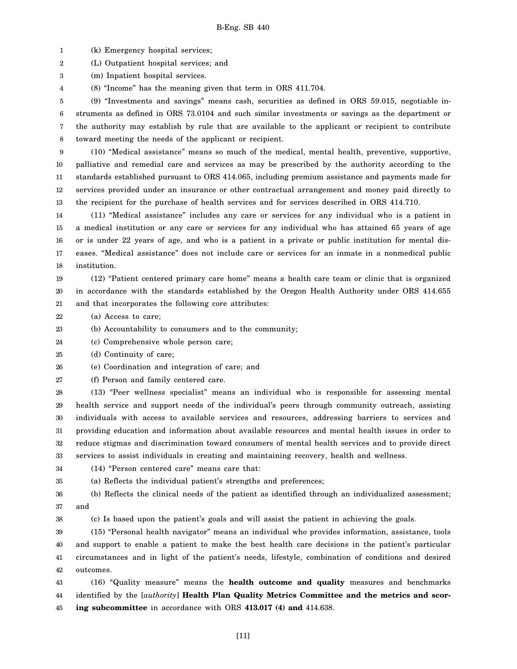1 (k) Emergency hospital services;

2 (L) Outpatient hospital services; and

3 (m) Inpatient hospital services.

4 (8) "Income" has the meaning given that term in ORS 411.704.

5 6 7 8 (9) "Investments and savings" means cash, securities as defined in ORS 59.015, negotiable instruments as defined in ORS 73.0104 and such similar investments or savings as the department or the authority may establish by rule that are available to the applicant or recipient to contribute toward meeting the needs of the applicant or recipient.

9 10 11 12 13 (10) "Medical assistance" means so much of the medical, mental health, preventive, supportive, palliative and remedial care and services as may be prescribed by the authority according to the standards established pursuant to ORS 414.065, including premium assistance and payments made for services provided under an insurance or other contractual arrangement and money paid directly to the recipient for the purchase of health services and for services described in ORS 414.710.

14 15 16 17 18 (11) "Medical assistance" includes any care or services for any individual who is a patient in a medical institution or any care or services for any individual who has attained 65 years of age or is under 22 years of age, and who is a patient in a private or public institution for mental diseases. "Medical assistance" does not include care or services for an inmate in a nonmedical public institution.

19 20 21 (12) "Patient centered primary care home" means a health care team or clinic that is organized in accordance with the standards established by the Oregon Health Authority under ORS 414.655 and that incorporates the following core attributes:

22 (a) Access to care;

23 (b) Accountability to consumers and to the community;

24 (c) Comprehensive whole person care;

25 (d) Continuity of care;

26 (e) Coordination and integration of care; and

27 (f) Person and family centered care.

28 29 30 31 32 33 (13) "Peer wellness specialist" means an individual who is responsible for assessing mental health service and support needs of the individual's peers through community outreach, assisting individuals with access to available services and resources, addressing barriers to services and providing education and information about available resources and mental health issues in order to reduce stigmas and discrimination toward consumers of mental health services and to provide direct services to assist individuals in creating and maintaining recovery, health and wellness.

34 (14) "Person centered care" means care that:

35 (a) Reflects the individual patient's strengths and preferences;

36 37 (b) Reflects the clinical needs of the patient as identified through an individualized assessment; and

38

(c) Is based upon the patient's goals and will assist the patient in achieving the goals.

39 40 41 42 (15) "Personal health navigator" means an individual who provides information, assistance, tools and support to enable a patient to make the best health care decisions in the patient's particular circumstances and in light of the patient's needs, lifestyle, combination of conditions and desired outcomes.

43 44 45 (16) "Quality measure" means the **health outcome and quality** measures and benchmarks identified by the [*authority*] **Health Plan Quality Metrics Committee and the metrics and scoring subcommittee** in accordance with ORS **413.017 (4) and** 414.638.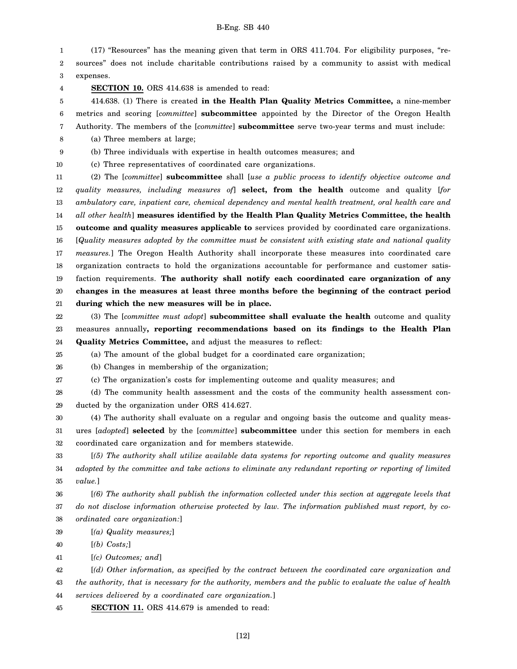1 2 3 (17) "Resources" has the meaning given that term in ORS 411.704. For eligibility purposes, "resources" does not include charitable contributions raised by a community to assist with medical expenses.

4

**SECTION 10.** ORS 414.638 is amended to read:

5 6 7 414.638. (1) There is created **in the Health Plan Quality Metrics Committee,** a nine-member metrics and scoring [*committee*] **subcommittee** appointed by the Director of the Oregon Health Authority. The members of the [*committee*] **subcommittee** serve two-year terms and must include:

8 (a) Three members at large;

9 (b) Three individuals with expertise in health outcomes measures; and (c) Three representatives of coordinated care organizations.

10

11 12 13 14 15 16 17 18 19 20 21 (2) The [*committee*] **subcommittee** shall [*use a public process to identify objective outcome and quality measures, including measures of*] **select, from the health** outcome and quality [*for ambulatory care, inpatient care, chemical dependency and mental health treatment, oral health care and all other health*] **measures identified by the Health Plan Quality Metrics Committee, the health outcome and quality measures applicable to** services provided by coordinated care organizations. [*Quality measures adopted by the committee must be consistent with existing state and national quality measures.*] The Oregon Health Authority shall incorporate these measures into coordinated care organization contracts to hold the organizations accountable for performance and customer satisfaction requirements. **The authority shall notify each coordinated care organization of any changes in the measures at least three months before the beginning of the contract period during which the new measures will be in place.**

22 23 24 (3) The [*committee must adopt*] **subcommittee shall evaluate the health** outcome and quality measures annually**, reporting recommendations based on its findings to the Health Plan Quality Metrics Committee,** and adjust the measures to reflect:

25 (a) The amount of the global budget for a coordinated care organization;

26 (b) Changes in membership of the organization;

27 (c) The organization's costs for implementing outcome and quality measures; and

28 29 (d) The community health assessment and the costs of the community health assessment conducted by the organization under ORS 414.627.

30 31 32 (4) The authority shall evaluate on a regular and ongoing basis the outcome and quality measures [*adopted*] **selected** by the [*committee*] **subcommittee** under this section for members in each coordinated care organization and for members statewide.

33 34 35 [*(5) The authority shall utilize available data systems for reporting outcome and quality measures adopted by the committee and take actions to eliminate any redundant reporting or reporting of limited value.*]

36 37 38 [*(6) The authority shall publish the information collected under this section at aggregate levels that do not disclose information otherwise protected by law. The information published must report, by coordinated care organization:*]

39 [*(a) Quality measures;*]

40 [*(b) Costs;*]

41 [*(c) Outcomes; and*]

42 [*(d) Other information, as specified by the contract between the coordinated care organization and*

43 44 *the authority, that is necessary for the authority, members and the public to evaluate the value of health services delivered by a coordinated care organization.*]

45 **SECTION 11.** ORS 414.679 is amended to read: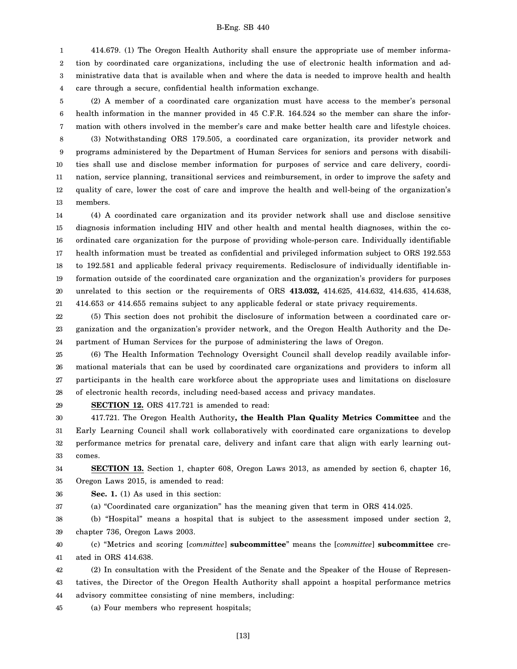1 2 3 4 414.679. (1) The Oregon Health Authority shall ensure the appropriate use of member information by coordinated care organizations, including the use of electronic health information and administrative data that is available when and where the data is needed to improve health and health care through a secure, confidential health information exchange.

5 6 7 8 9 10 11 12 13 (2) A member of a coordinated care organization must have access to the member's personal health information in the manner provided in 45 C.F.R. 164.524 so the member can share the information with others involved in the member's care and make better health care and lifestyle choices. (3) Notwithstanding ORS 179.505, a coordinated care organization, its provider network and programs administered by the Department of Human Services for seniors and persons with disabilities shall use and disclose member information for purposes of service and care delivery, coordination, service planning, transitional services and reimbursement, in order to improve the safety and quality of care, lower the cost of care and improve the health and well-being of the organization's members.

14 15 16 17 18 19 20 21 (4) A coordinated care organization and its provider network shall use and disclose sensitive diagnosis information including HIV and other health and mental health diagnoses, within the coordinated care organization for the purpose of providing whole-person care. Individually identifiable health information must be treated as confidential and privileged information subject to ORS 192.553 to 192.581 and applicable federal privacy requirements. Redisclosure of individually identifiable information outside of the coordinated care organization and the organization's providers for purposes unrelated to this section or the requirements of ORS **413.032,** 414.625, 414.632, 414.635, 414.638, 414.653 or 414.655 remains subject to any applicable federal or state privacy requirements.

22 23 24 (5) This section does not prohibit the disclosure of information between a coordinated care organization and the organization's provider network, and the Oregon Health Authority and the Department of Human Services for the purpose of administering the laws of Oregon.

25 26 27 28 (6) The Health Information Technology Oversight Council shall develop readily available informational materials that can be used by coordinated care organizations and providers to inform all participants in the health care workforce about the appropriate uses and limitations on disclosure of electronic health records, including need-based access and privacy mandates.

29

**SECTION 12.** ORS 417.721 is amended to read:

30 31 32 33 417.721. The Oregon Health Authority**, the Health Plan Quality Metrics Committee** and the Early Learning Council shall work collaboratively with coordinated care organizations to develop performance metrics for prenatal care, delivery and infant care that align with early learning outcomes.

34 35 **SECTION 13.** Section 1, chapter 608, Oregon Laws 2013, as amended by section 6, chapter 16, Oregon Laws 2015, is amended to read:

36 **Sec. 1.** (1) As used in this section:

37 (a) "Coordinated care organization" has the meaning given that term in ORS 414.025.

38 39 (b) "Hospital" means a hospital that is subject to the assessment imposed under section 2, chapter 736, Oregon Laws 2003.

40 41 (c) "Metrics and scoring [*committee*] **subcommittee**" means the [*committee*] **subcommittee** created in ORS 414.638.

42 43 44 (2) In consultation with the President of the Senate and the Speaker of the House of Representatives, the Director of the Oregon Health Authority shall appoint a hospital performance metrics advisory committee consisting of nine members, including:

45 (a) Four members who represent hospitals;